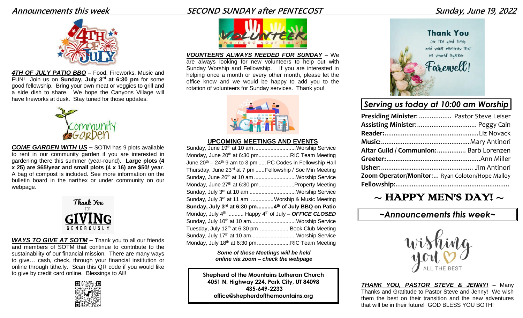## *Announcements this week SECOND SUNDAY after PENTECOST Sunday, June 19, 2022*



*4TH OF JULY PATIO BBQ* – Food, Fireworks, Music and FUN! Join us on **Sunday, July 3rd at 6:30 pm** for some good fellowship. Bring your own meat or veggies to grill and a side dish to share. We hope the Canyons Village will have fireworks at dusk. Stay tuned for those updates.



*COME GARDEN WITH US –* SOTM has 9 plots available to rent in our community garden if you are interested in gardening there this summer (year-round). **Large plots (4 x 25) are \$65/year and small plots (4 x 16) are \$50/ year**. A bag of compost is included. See more information on the bulletin board in the narthex or under community on our webpage.



*WAYS TO GIVE AT SOTM* – Thank you to all our friends and members of SOTM that continue to contribute to the sustainability of our financial mission. There are many ways to give… cash, check, through your financial institution or online through tithe.ly. Scan this QR code if you would like to give by credit card online. Blessings to All!



# *VOUNTEERS ALWAYS NEEDED FOR SUNDAY* – We

are always looking for new volunteers to help out with Sunday Worship and Fellowship. If you are interested in helping once a month or every other month, please let the office know and we would be happy to add you to the rotation of volunteers for Sunday services. Thank you!



### **UPCOMING MEETINGS AND EVENTS**

| Sunday, June 19th at 10 am Worship Service                                         |
|------------------------------------------------------------------------------------|
| Monday, June 20th at 6:30 pmRIC Team Meeting                                       |
| June 20 <sup>th</sup> - 24 <sup>th</sup> 9 am to 3 pm  PC Codes in Fellowship Hall |
| Thursday, June 23rd at 7 pm  Fellowship / Soc Min Meeting                          |
| Sunday, June 26th at 10 am Worship Service                                         |
| Monday, June 27th at 6:30 pmProperty Meeting                                       |
| Sunday, July 3rd at 10 am Worship Service                                          |
| Sunday, July 3rd at 11 am  Worship & Music Meeting                                 |
| Sunday, July 3rd at 6:30 pm4th of July BBQ on Patio                                |
| Monday, July $4^{\text{th}}$ Happy $4^{\text{th}}$ of July - OFFICE CLOSED         |
| Sunday, July 10 <sup>th</sup> at 10 amWorship Service                              |
| Tuesday, July 12 <sup>th</sup> at 6:30 pm  Book Club Meeting                       |
| Sunday, July 17th at 10 amWorship Service                                          |
| Monday, July 18th at 6:30 pm RIC Team Meeting                                      |
|                                                                                    |

*Some of these Meetings will be held online via zoom – check the webpage*

**Shepherd of the Mountains Lutheran Church 4051 N. Highway 224, Park City, UT 84098 435-649-2233 office@shepherdofthemountains.org**



## *Serving us today at 10:00 am Worship*

| Presiding Minister:  Pastor Steve Leiser        |  |
|-------------------------------------------------|--|
|                                                 |  |
|                                                 |  |
|                                                 |  |
| Altar Guild / Communion:  Barb Lorenzen         |  |
|                                                 |  |
|                                                 |  |
| Zoom Operator/Monitor: Ryan Coloton/Hope Malloy |  |
|                                                 |  |

# $\sim$  HAPPY MEN'S DAY!  $\sim$

### *~Announcements this week~*



*THANK YOU, PASTOR STEVE & JENNY!* – Many Thanks and Gratitude to Pastor Steve and Jenny! We wish them the best on their transition and the new adventures that will be in their future! GOD BLESS YOU BOTH!